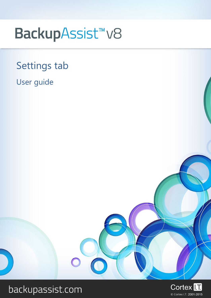# BackupAssist<sup>™</sup>v8

## Settings tab

## User guide



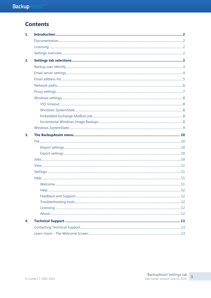## **Contents**

| 1. |  |
|----|--|
|    |  |
|    |  |
|    |  |
| 2. |  |
|    |  |
|    |  |
|    |  |
|    |  |
|    |  |
|    |  |
|    |  |
|    |  |
|    |  |
|    |  |
|    |  |
| 3. |  |
|    |  |
|    |  |
|    |  |
|    |  |
|    |  |
|    |  |
|    |  |
|    |  |
|    |  |
|    |  |
|    |  |
|    |  |
|    |  |
| 4. |  |
|    |  |
|    |  |

 $\,1\,$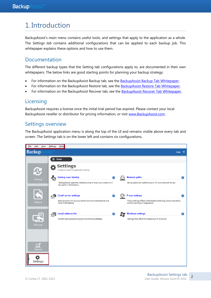## 1. Introduction

BackupAssist"s *main menu* contains useful tools, and settings that apply to the application as a whole. The *Settings tab* contains additional configurations that can be applied to each backup job. This whitepaper explains these options and how to use them.

## Documentation

The different backup types that the Setting tab configurations apply to, are documented in their own whitepapers. The below links are good starting points for planning your backup strategy:

- For information on the BackupAssist Backup tab, see the [BackupAssist Backup Tab Whitepaper.](http://www.backupassist.com/education/v8/whitepapers/backup_whitepaper.html)
- For information on the BackupAssist Restore tab, see the [BackupAssist Restore Tab Whitepaper.](http://www.backupassist.com/education/v8/whitepapers/restore_whitepaper.html)
- For information on the BackupAssist Recover tab, see the [BackupAssist Recover Tab Whitepaper.](http://www.backupassist.com/education/v8/whitepapers/recover_whitepaper.html)

## **Licensing**

BackupAssist requires a license once the initial trial period has expired. Please contact your local BackupAssist reseller or distributor for pricing information, or visit [www.BackupAssist.com.](http://www.backupassist.com/)

## Settings overview

The BackupAssist application menu is along the top of the UI and remains visible above every tab and screen. The Settings tab is on the lower left and contains six configurations.



2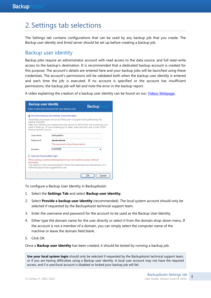## <span id="page-3-0"></span>2. Settings tab selections

The Settings tab contains configurations that can be used by any backup job that you create. The *Backup user identity* and *Email server* should be set up before creating a backup job.

## Backup user identity

Backup jobs require an administrator account with read access to the data source, and full read-write access to the backup"s destination. It is recommended that a dedicated backup account is created for this purpose. The account"s details are entered here and your backup jobs will be launched using these credentials. The account"s permissions will be validated both when the backup user identity is entered and each time the job is executed. If no account is specified or the account has insufficient permissions, the backup job will fail and note the error in the backup report.

A video explaining the creation of a backup user identity can be found on our, [Videos Webpage.](http://www.backupassist.com/education/videos.html)

| <b>Backup user identity</b><br><b>Backup</b><br>Enter a name and password for your backup user.                                                                                                                                                                                                                                                            |                                                                                                                                                                 |              |  |  |  |
|------------------------------------------------------------------------------------------------------------------------------------------------------------------------------------------------------------------------------------------------------------------------------------------------------------------------------------------------------------|-----------------------------------------------------------------------------------------------------------------------------------------------------------------|--------------|--|--|--|
| O Provide a backup user identity (recommended)<br>The backup processes will run as if this user is logged in and performing the<br>backup manually.<br>Make sure that the user entered here has access to all the files and directories you<br>want to back up. If you're backing up to tape, make sure this user is part of the<br>Backup Operator group. |                                                                                                                                                                 |              |  |  |  |
| Username:                                                                                                                                                                                                                                                                                                                                                  | backupadmin                                                                                                                                                     |              |  |  |  |
| Password:                                                                                                                                                                                                                                                                                                                                                  |                                                                                                                                                                 |              |  |  |  |
|                                                                                                                                                                                                                                                                                                                                                            | This password should never expire.                                                                                                                              |              |  |  |  |
| Domain:                                                                                                                                                                                                                                                                                                                                                    | <b>GUMTREE</b>                                                                                                                                                  |              |  |  |  |
|                                                                                                                                                                                                                                                                                                                                                            | Use your local system login                                                                                                                                     |              |  |  |  |
| resources<br>technical support has suggested its use.                                                                                                                                                                                                                                                                                                      | If this setting is selected BackupAssist may not be able to access network<br>This setting is only recommended for those who understand its implications, or if |              |  |  |  |
|                                                                                                                                                                                                                                                                                                                                                            |                                                                                                                                                                 | Cancel<br>ΩК |  |  |  |

To configure a Backup User Identity in BackupAssist:

- 1. Select the **Settings Tab** and select **Backup user identity.**
- 2. Select **Provide a backup user identity** (recommended). The local system account should only be selected if requested by the BackupAssist technical support team.
- 3. Enter the username and password for the account to be used as the Backup User Identity.
- 4. Either type the domain name for the user directly or select it from the domain drop-down menu. If the account is not a member of a domain, you can simply select the computer name of the machine or leave the domain field blank.
- 5. Click OK

Once a **Backup user identity** has been created, it should be tested by running a backup job.

**Use your local system login** should only be selected if requested by the BackupAssist technical support team, or if you are having difficulties using a Backup user identity. A local user account may not have the required access, and if a user/local account is disabled or locked your backup job will fail.

3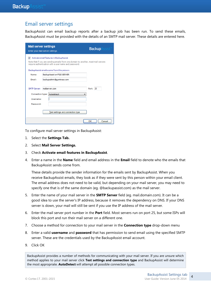### Email server settings

BackupAssist can email backup reports after a backup job has been run. To send these emails, BackupAssist must be provided with the details of an SMTP mail server. These details are entered here.

| <b>Mail server settings</b>                                       | Enter your mail server settings.                                                                                                                                                      | <b>Backup</b> Assist |
|-------------------------------------------------------------------|---------------------------------------------------------------------------------------------------------------------------------------------------------------------------------------|----------------------|
| $\overline{v}$                                                    | Activate email features in BackupAssist<br>Note that if you are sending emails from one domain to another, most mail servers<br>require authentication with a user name and password. |                      |
|                                                                   | BackupAssist emails come from this person:                                                                                                                                            |                      |
| Name:                                                             | BackupAssist on FILE-SERVER                                                                                                                                                           |                      |
| Fmail:                                                            | backupadmin@gumtrees.com                                                                                                                                                              |                      |
| <b>SMTP Server:</b><br>Connection type:<br>Username:<br>Password: | mailserver.com<br>Autodetect                                                                                                                                                          | Port: 25             |
|                                                                   | Test settings and connection type                                                                                                                                                     |                      |
|                                                                   |                                                                                                                                                                                       | Cancel<br>OK         |

To configure mail server settings in BackupAssist:

- 1. Select the **Settings Tab.**
- 2. Select **Mail Server Settings.**
- 3. Check **Activate email features in BackupAssist**.
- 4. Enter a name in the **Name** field and email address in the **Email** field to denote who the emails that BackupAssist sends come from.

These details provide the sender information for the emails sent by BackupAssist. When you receive BackupAssist emails, they look as if they were sent by this person within your email client. The email address does not need to be valid, but depending on your mail server, you may need to specify one that is of the same domain (eg. @backupassist.com) as the mail server.

- 5. Enter the name of your mail server in the **SMTP Server** field (eg. mail.domain.com). It can be a good idea to use the server's IP address, because it removes the dependency on DNS. If your DNS server is down, your mail will still be sent if you use the IP address of the mail server.
- 6. Enter the mail server port number in the **Port** field. Most servers run on port 25, but some ISPs will block this port and run their mail server on a different one.
- 7. Choose a method for connection to your mail server in the **Connection type** drop-down menu
- 8. Enter a valid **username** and **password** that has permission to send email using the specified SMTP server. These are the credentials used by the BackupAssist email account.
- 9. Click OK

BackupAssist provides a number of methods for communicating with your mail server. If you are unsure which method applies to your mail server click **Test settings and connection type** and BackupAssist will determine the most appropriate. **AutoDetect** will attempt all possible connection types.

4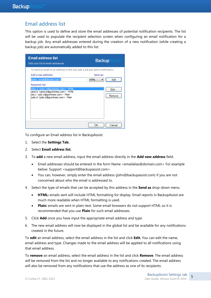## Email address list

This option is used to define and store the email addresses of potential notification recipients. The list will be used to populate the recipient selection screen when configuring an email notification for a backup job. Any email addresses entered during the creation of a new notification (while creating a backup job) are automatically added to this list.



To configure an Email address list in BackupAssist:

- 1. Select the **Settings Tab.**
- 2. Select **Email address list.**
- 3. To **add** a new email address, input the email address directly in the **Add new address** field.
	- Email addresses should be entered in the form Name <emailalias@domain.com> For example below: Support <support@backupassist.com>
	- You can, however, simply enter the email address (john@backupassist.com) if you are not concerned about who the email is addressed to.
- 4. Select the type of emails that can be accepted by this address in the **Send as** drop-down menu
	- **HTML:** emails sent will include HTML formatting for display. Email reports in BackupAssist are much more readable when HTML formatting is used.
	- **Plain:** emails are sent in plain-text. Some email browsers do not support HTML so it is recommended that you use **Plain** for such email addresses.
- 5. Click **Add** once you have input the appropriate email address and type.
- 6. The new email address will now be displayed in the global list and be available for any notifications created in the future.

To **edit** an email address, select the email address in the list and click **Edit.** You can edit the name, email address and type. Changes made to the email address will be applied to all notifications using that email address.

To **remove** an email address, select the email address in the list and click **Remove**. The email address will be removed from the list and no longer available to any notifications created. The email address will also be removed from any notifications that use the address as one of its recipients.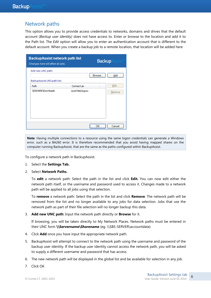## Network paths

This option allows you to provide access credentials to networks, domains and drives that the default account (*Backup user identity)* does not have access to. Enter or browse to the location and add it to the Path list. The *Edit* option will allow you to enter an authentication account that is different to the default account. When you create a backup job to a remote location, that location will be added here

| <b>BackupAssist network path list</b><br>Changes here will affect all jobs. |                      | <b>Backup</b> Assist |
|-----------------------------------------------------------------------------|----------------------|----------------------|
| Add new UNC path:                                                           |                      | Browse<br>Add        |
| BackupAssist UNCpath list:                                                  |                      |                      |
| Path                                                                        | Connect as           | Edit                 |
| \\DSHARE\Downloads                                                          | <b>GUMTREES\john</b> | Remove               |
|                                                                             |                      | ОК<br>Cancel         |

**Note**: Having multiple connections to a resource using the same logon credentials can generate a Windows error, such as a BA260 error. It is therefore recommended that you avoid having mapped shares on the computer running BackupAssist, that are the same as the paths configured within BackupAssist.

To configure a network path in BackupAssist:

- 1. Select the **Settings Tab.**
- 2. Select **Network Paths.**

To **edit** a network path: Select the path in the list and click **Edit.** You can now edit either the network path itself, or the username and password used to access it. Changes made to a network path will be applied to all jobs using that selection.

To **remove** a network path: Select the path in the list and click **Remove**. The network path will be removed from the list and no longer available to any jobs for data selection. Jobs that use the network path as part of their file selection will no longer backup this data.

3. **Add new UNC path**: Input the network path directly or **Browse** for it.

If browsing, you will be taken directly to My Network Places. Network paths must be entered in their UNC form **\\Servername\Sharename** (eg. \\SBS-SERVER\accountdata)

- 4. Click **Add** once you have input the appropriate network path.
- 5. BackupAssist will attempt to connect to the network path using the username and password of the backup user identity. If the backup user identity cannot access the network path, you will be asked to supply a different username and password that has access.
- 6. The new network path will be displayed in the global list and be available for selection in any job.
- 7. Click OK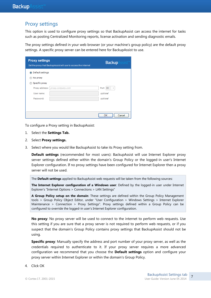### Proxy settings

This option is used to configure proxy settings so that BackupAssist can access the internet for tasks such as posting Centralized Monitoring reports, license activation and sending diagnostic emails.

The proxy settings defined in your web browser (or your machine"s group policy) are the default proxy settings. A specific proxy server can be entered here for BackupAssist to use.

| <b>Proxy settings</b> | Set the proxy that BackupAssist will use to access the internet | <b>Backup</b> A<br>ssist               |
|-----------------------|-----------------------------------------------------------------|----------------------------------------|
| O Default settings    |                                                                 |                                        |
| No proxy              |                                                                 |                                        |
| Specific proxy        |                                                                 |                                        |
| Proxy address:        | proxy.company.com                                               | Port<br>80<br>$\overline{\phantom{a}}$ |
| User name:            |                                                                 | optional                               |
| Password:             |                                                                 | optional                               |
|                       |                                                                 |                                        |
|                       |                                                                 |                                        |
|                       |                                                                 | OK<br>Cancel                           |

To configure a Proxy setting in BackupAssist:

- 1. Select the **Settings Tab.**
- 2. Select **Proxy settings.**
- 3. Select where you would like BackupAssist to take its Proxy setting from.

**Default settings** (recommended for most users): BackupAssist will use Internet Explorer proxy server settings defined either within the domain's Group Policy or the logged-in user's Internet Explorer configuration. If no proxy settings have been configured for Internet Explorer then a proxy server will not be used.

The **Default settings** applied to BackupAssist web requests will be taken from the following sources:

**The Internet Explorer configuration of a Windows user**: Defined by the logged-in user under Internet Explorer's "Internet Options > Connections > LAN Settings"

**A Group Policy setup on the domain**: These settings are defined within the Group Policy Management tools > Group Policy Object Editor, under "User Configuration > Windows Settings > Internet Explorer Maintenance > Connection > Proxy Settings". Proxy settings defined within a Group Policy can be configured to override the logged-in user's Internet Explorer configuration.

**No proxy**: No proxy server will be used to connect to the internet to perform web requests. Use this setting if you are sure that a proxy server is not required to perform web requests, or if you suspect that the domain's Group Policy contains proxy settings that BackupAssist should not be using.

**Specific proxy**: Manually specify the address and port number of your proxy server, as well as the credentials required to authenticate to it. If your proxy server requires a more advanced configuration we recommend that you choose the **Default settings** option and configure your proxy server within Internet Explorer or within the domain's Group Policy.

4. Click OK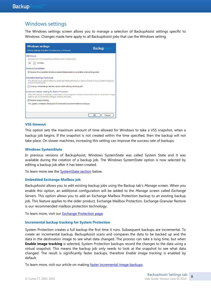## Windows settings

The Windows settings screen allows you to manage a selection of BackupAssist settings specific to Windows. Changes made here apply to all BackupAssist jobs that use the Windows setting.



#### **VSS timeout**

This option sets the maximum amount of time allowed for Windows to take a VSS snapshot, when a backup job begins. If the snapshot is not created within the time specified, then the backup will not take place. On slower machines, increasing this setting can improve the success rate of backups.

#### **Windows SystemState**

In previous versions of BackupAssist, Windows SystemState was called System State and it was available during the creation of a backup job. The Windows SystemState option is now selected by editing a backup job after it has been created.

To learn more see the **SystemState section** below.

#### **Embedded Exchange Mailbox job**

BackupAssist allows you to edit existing backup jobs using the Backup tab"s *Manage* screen. When you enable this option, an additional configuration will be added to the *Manage* screen called *Exchange Servers*. This option allows you to add an Exchange Mailbox Protection backup to an existing backup job. This feature applies to the older product, Exchange Mailbox Protection. Exchange Granular Restore is our recommended mailbox protection technology.

To learn more, visit our **Exchange Protection page**.

#### **Incremental backup tracking for System Protection**

System Protection creates a full backup the first time it runs. Subsequent backups are incremental. To create an incremental backup, BackupAssist scans and compares the data to be backed up and the data in the destination image to see what data changed. The process can take a long time, but when **Enable image tracking** is selected, System Protection backups record the changes to the data using a virtual snapshot. This means the backup job only needs to look at the snapshot to see what data changed. The result is significantly faster backups, therefore *Enable image tracking* is enabled by default.

To learn more, visit our article on making [faster incremental image backups.](http://www.backupassist.com/blog/support/fast-incremental-backups-for-system-protection/)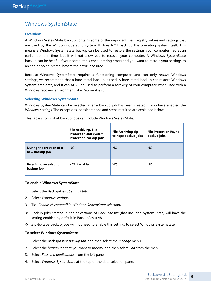## <span id="page-9-0"></span>Windows SystemState

#### **Overview**

A Windows SystemState backup contains some of the important files, registry values and settings that are used by the Windows operating system. It does NOT back up the operating system itself. This means a Windows SystemState backup can be used to restore the settings your computer had at an earlier point in time, but it will not allow you to recover your computer. A Windows SystemState backup can be helpful if your computer is encountering errors and you want to restore your settings to an earlier point in time, before the errors occurred.

Because Windows SystemState requires a functioning computer, and can only *restore* Windows settings, we recommend that a bare-metal backup is used. A bare-metal backup can restore Windows SystemState data, and it can ALSO be used to perform a *recovery* of your computer, when used with a Windows recovery environment, like RecoverAssist.

#### **Selecting Windows SystemState**

Windows SystemState can be selected after a backup job has been created, if you have enabled the *Windows settings*. The exceptions, considerations and steps required are explained below:

|                                            | <b>File Archiving, File</b><br><b>Protection and System</b><br><b>Protection backup jobs</b> | <b>File Archiving zip-</b><br>to-tape backup jobs | <b>File Protection Rsync</b><br>backup jobs |
|--------------------------------------------|----------------------------------------------------------------------------------------------|---------------------------------------------------|---------------------------------------------|
| During the creation of a<br>new backup job | NO.                                                                                          | <b>NO</b>                                         | <b>NO</b>                                   |
| By editing an existing<br>backup job       | YES, if enabled                                                                              | <b>YES</b>                                        | NO.                                         |

This table shows what backup jobs can include Windows SystemState.

#### **To enable Windows SystemState**:

- 1. Select the BackupAssist *Settings tab*.
- 2. Select *Windows settings***.**
- 3. Tick *Enable v6 compatible Windows SystemState selection***.**
- Backup jobs created in earlier versions of BackupAssist (that included System State) will have the setting enabled by default in BackupAssist v8.
- Zip-to-tape backup jobs will not need to enable this setting, to select Windows SystemState.

#### **To select Windows SystemState**:

- 1. Select the BackupAssist *Backup tab*, and then select the *Manage* menu.
- 2. Select the *backup job* that you want to modify, and then select *Edit* from the menu.
- 3. Select *Files and applications* from the left pane.
- 4. Select *Windows SystemState* at the top of the data selection pane.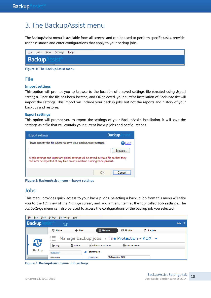## 3. The BackupAssist menu

The BackupAssist menu is available from all screens and can be used to perform specific tasks, provide user assistance and enter configurations that apply to your backup jobs.

| <b>File</b> |                      | Jobs <u>V</u> iew <u>S</u> ettings Help |  |  |  |  |
|-------------|----------------------|-----------------------------------------|--|--|--|--|
|             | <b>Backup</b> Assist |                                         |  |  |  |  |
|             |                      |                                         |  |  |  |  |

**Figure 1: The BackupAssist menu**

### File

#### **Import settings**

This option will prompt you to browse to the location of a saved settings file (created using *Export settings*). Once the file has been located, and OK selected, your current installation of BackupAssist will import the settings. This import will include your backup jobs but not the reports and history of your backups and restores.

#### **Export settings**

This option will prompt you to export the settings of your BackupAssist installation. It will save the settings as a file that will contain your current backup jobs and configurations.

| Export settings                                                                                                                                                   | <b>Backup</b> |
|-------------------------------------------------------------------------------------------------------------------------------------------------------------------|---------------|
| Please specify the file where to save your BackupAssist settings:                                                                                                 |               |
| All job settings and important global settings will be saved out to a file so that they<br>can later be imported at any time on any machine running BackupAssist. | Browse        |
|                                                                                                                                                                   | Cancel        |

**Figure 2: BackupAssist menu – Export settings**

## Jobs

This menu provides quick access to your backup jobs. Selecting a backup job from this menu will take you to the *Edit* view of the *Manage* screen, and add a menu item at the top, called **Job settings***.* The *Job Settings* menu can also be used to access the configurations of the backup job you selected.

| File | Jobs          | View | Settings             | Job settings | $He$ lp         |                      |                       |                                                                      |                     |             |  |
|------|---------------|------|----------------------|--------------|-----------------|----------------------|-----------------------|----------------------------------------------------------------------|---------------------|-------------|--|
|      | Backup/       |      |                      |              |                 |                      |                       |                                                                      |                     | <b>Help</b> |  |
|      |               |      | <b>C</b> Home        |              | $+$ New         |                      | $\equiv$ Manage       | ₩<br><b>Monitor</b>                                                  | $ \vec{x} $ Reports |             |  |
|      |               |      | 這                    |              |                 |                      |                       | Manage backup jobs $\rightarrow$ File Protection - RDX $\rightarrow$ |                     |             |  |
|      | $\mathbf{C}$  |      | $\triangleright$ Run |              | <b>而</b> Delete | Add desktop shortart |                       | $\Box$ Prepare media                                                 |                     |             |  |
|      | <b>Backup</b> |      | <b>Overview</b>      |              |                 | <b>Summary</b>       |                       |                                                                      |                     |             |  |
|      |               |      | <b>Destination</b>   |              |                 | Job name:            | File Protection - RDX |                                                                      |                     |             |  |

**Figure 3: BackupAssist menu- Job settings**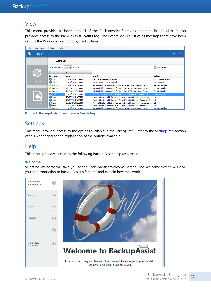### View

This menu provides a shortcut to all of the BackupAssist functions and tabs in one click. It also provides access to the BackupAssist **Events log**. The Events log is a list of all messages that have been sent to the Windows Event Log by BackupAssist.

| File | <b>Jobs</b>    | View | <b>Settings</b><br>Help        |                                                 |                                                                                                                                                   |                                          |
|------|----------------|------|--------------------------------|-------------------------------------------------|---------------------------------------------------------------------------------------------------------------------------------------------------|------------------------------------------|
|      | <b>Backup</b>  |      |                                |                                                 |                                                                                                                                                   | $\overline{2}$<br><b>Help</b>            |
|      |                |      | <b>Events Log</b>              |                                                 |                                                                                                                                                   |                                          |
|      |                |      | Display the last               | 500<br>events<br>$\overline{\phantom{a}}$       |                                                                                                                                                   | Auto refresh                             |
|      |                |      | All                            | $\blacktriangleright$ $\blacktriangleleft$<br>▼ |                                                                                                                                                   |                                          |
|      |                |      | <b>Error</b> level             | Date                                            | Event                                                                                                                                             | Category                                 |
|      | Backup         |      | <b>O</b> Info<br><b>O</b> Info | 27/02/2013 1:39 PM<br>27/02/2013 1:39 PM        | Language detected as en-US<br>BackupAssist console started                                                                                        | WindowsImageBackup<br>BackupAssist       |
|      |                |      | A Warning<br>A Warning         | 27/02/2013 1:26 PM<br>7/12/2012 10:14 AM        | Missing field 'vssComponents' in type 'CortexIT.FileCatalogue.Backup<br>Missing field 'vssComponents' in type 'CortexIT.FileCatalogue.Backup      | SettingsSerializer<br>SettingsSerializer |
|      |                |      | <b>A</b> Warning               | 7/12/2012 10:14 AM                              | Missing field 'vssComponents' in type 'CortexIT.FileCatalogue.Backup                                                                              | SettingsSerializer                       |
|      |                |      | <b>X</b> Error                 | 27/02/2013 1:32 PM                              | Method XEPTN: !Couldn't recreate SettingsBase object 'CortexIT.BA                                                                                 | <b>StaticSettings</b>                    |
|      |                |      | <b>Major</b>                   | 27/02/2013 1:26 PM                              | New notification added of type CortexIT.BA.Notifications.Maintenanc                                                                               | UI                                       |
|      |                |      | <b>Major</b>                   | 27/02/2013 1:26 PM                              | New notification added of type CortexIT.BA.Notifications.ReportNotifi UI                                                                          |                                          |
|      | <b>Restore</b> |      | <b>Major</b><br><b>Major</b>   | 27/02/2013 1:26 PM<br>27/02/2013 1:26 PM        | New notification added of type CortexIT.BA.Notifications.ReportNotifi UI<br>New notification added of type CortexIT.BA.Notifications.ReportNotifi | UI                                       |
|      |                |      | <b>A</b> Warning               | 27/02/2013 1:26 PM                              | Missing field 'vssComponents' in type 'CortexIT.FileCatalogue.Backup                                                                              | SettingsSerializer                       |

**Figure 4: BackupAssist View menu – Events log**

## **Settings**

This menu provides access to the options available in the *Settings tab*. Refer to the [Settings](#page-3-0) tab section of this whitepaper for an explanation of the options available.

## **Help**

This menu provides access to the following BackupAssist help resources:

#### **Welcome**

Selecting Welcome will take you to the BackupAssist Welcome Screen. The Welcome Screen will give you an introduction to BackupAssist's features and explain how they work.

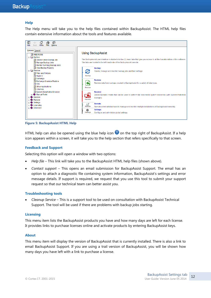#### **Help**

The Help menu will take you to the help files contained within BackupAssist. The HTML help files contain extensive information about the tools and features available.



**Figure 5: BackupAssist HTML Help**

HTML help can also be opened using the blue help icon  $\bullet$  on the top right of BackupAssist. If a help icon appears within a screen, it will take you to the help section that refers specifically to that screen.

#### **Feedback and Support**

Selecting this option will open a window with two options:

- *Help file* This link will take you to the BackupAssist HTML help files (shown above).
- *Contact support* This opens an email submission for BackupAssist Support. The email has an option to attach a diagnostic file containing system information, BackupAssist"s settings and error message details. If support is required, we request that you use this tool to submit your support request so that our technical team can better assist you.

#### **Troubleshooting tools**

 *Cleanup Service* – This is a support tool to be used on consultation with BackupAssist Technical Support. The tool will be used if there are problems with backup jobs starting.

#### **Licensing**

This menu item lists the BackupAssist products you have and how many days are left for each license. It provides links to purchase licenses online and activate products by entering BackupAssist keys.

#### **About**

This menu item will display the version of BackupAssist that is currently installed. There is also a link to email BackupAssist Support. If you are using a trail version of BackupAssist, you will be shown how many days you have left with a link to purchase a license.